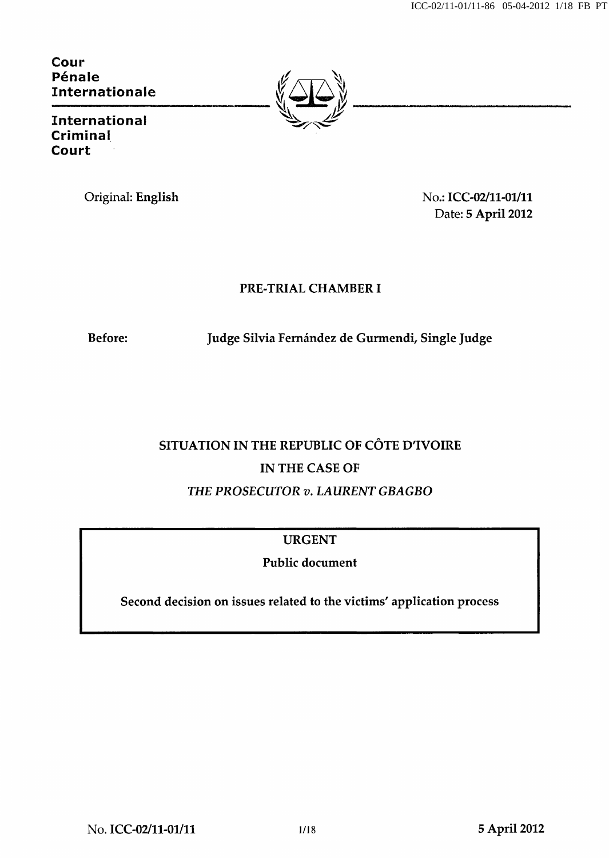Cour Pénale Internationale



International Criminal Court

Original: English No.: ICC-02/11-01/11 Date: 5 April 2012

## PRE-TRIAL CHAMBER I

Before: Judge Silvia Fernández de Gurmendi, Single Judge

# SITUATION IN THE REPUBLIC OF CÔTE D'IVOIRE IN THE CASE OF THE PROSECUTOR v. LAURENT GBAGBO

URGENT

Public document

Second decision on issues related to the victims' application process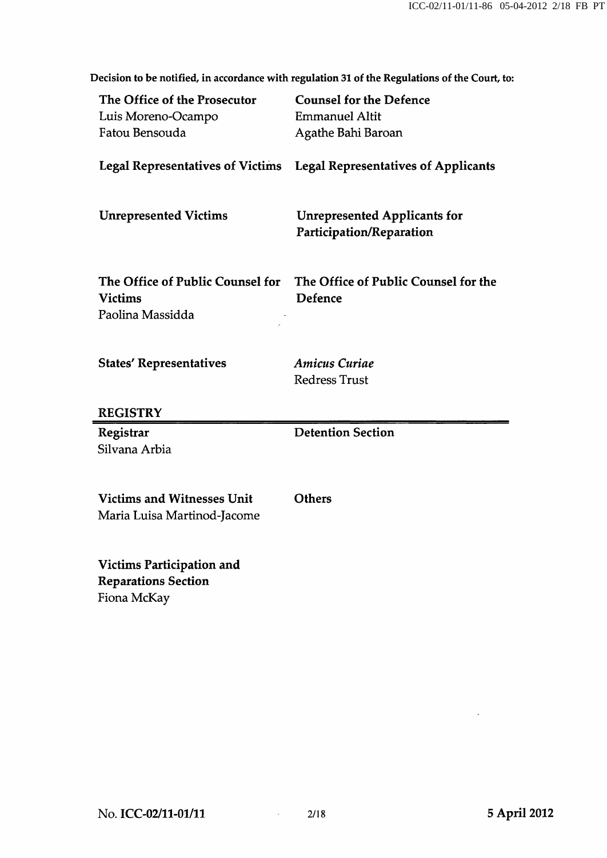The Office of the Prosecutor Counsel for the Defence Luis Moreno-Ocampo Emmanuel Altit Fatou Bensouda Agathe Bahi Baroan Legal Representatives of Victims Legal Representatives of Applicants Unrepresented Victims Unrepresented Applicants for Participation/Reparation The Office of Public Counsel for The Office of Public Counsel for the Victims Defence Paolina Massidda States' Representatives **Amicus Curiae** Redress Trust **REGISTRY** Registrar Silvana Arbia Detention Section Victims and Witnesses Unit Maria Luisa Martinod-Jacome **Others** Victims Participation and Reparations Section Fiona McKay

Decision to be notified, in accordance with regulation 31 of the Regulations of the Court, to: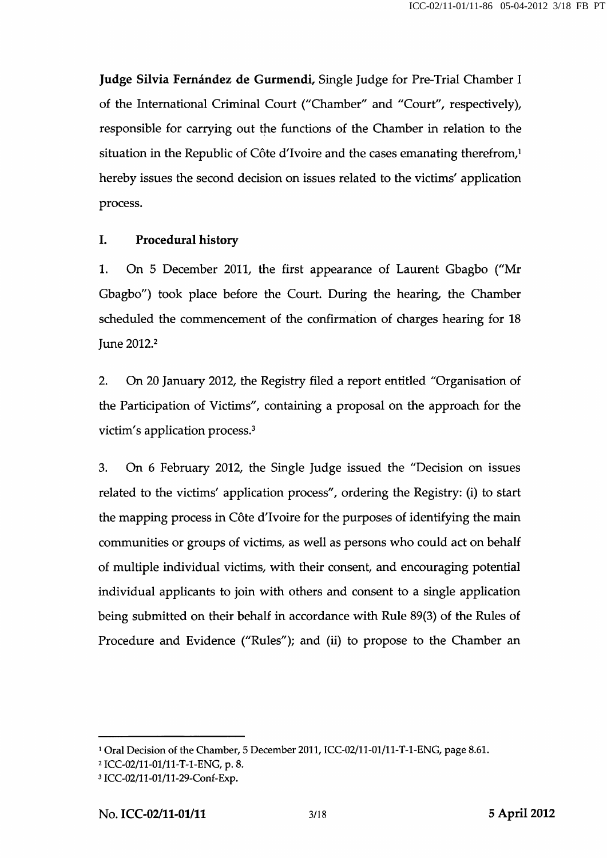Judge Silvia Fernández de Gurmendi, Single Judge for Pre-Trial Chamber I of the International Criminal Court ("Chamber'' and "Court'', respectively), responsible for carrying out the functions of the Chamber in relation to the situation in the Republic of Côte d'Ivoire and the cases emanating therefrom,<sup>1</sup> hereby issues the second decision on issues related to the victims' application process.

#### I. Procedural history

1. On 5 December 2011, the first appearance of Laurent Gbagbo ("Mr Gbagbo") took place before the Court. During the hearing, the Chamber scheduled the commencement of the confirmation of charges hearing for 18 June 2012.<sup>2</sup>

2. On 20 January 2012, the Registry filed a report entitled "Organisation of the Participation of Victims", containing a proposal on the approach for the victim's application process.<sup>3</sup>

3. On 6 February 2012, the Single Judge issued the "Decision on issues related to the victims' application process", ordering the Registry: (i) to start the mapping process in Côte d'lvoire for the purposes of identifying the main communities or groups of victims, as well as persons who could act on behalf of multiple individual victims, with their consent, and encouraging potential individual applicants to join with others and consent to a single application being submitted on their behalf in accordance with Rule 89(3) of the Rules of Procedure and Evidence ("Rules"); and (ii) to propose to the Chamber an

<sup>&</sup>lt;sup>1</sup> Oral Decision of the Chamber, 5 December 2011, ICC-02/11-01/11-T-1-ENG, page 8.61.

<sup>2</sup> ICC-02/ll-Ol/ll-T-l-ENG, p. 8.

<sup>3</sup> ICC-02/ll-01/ll-29-Conf-Exp.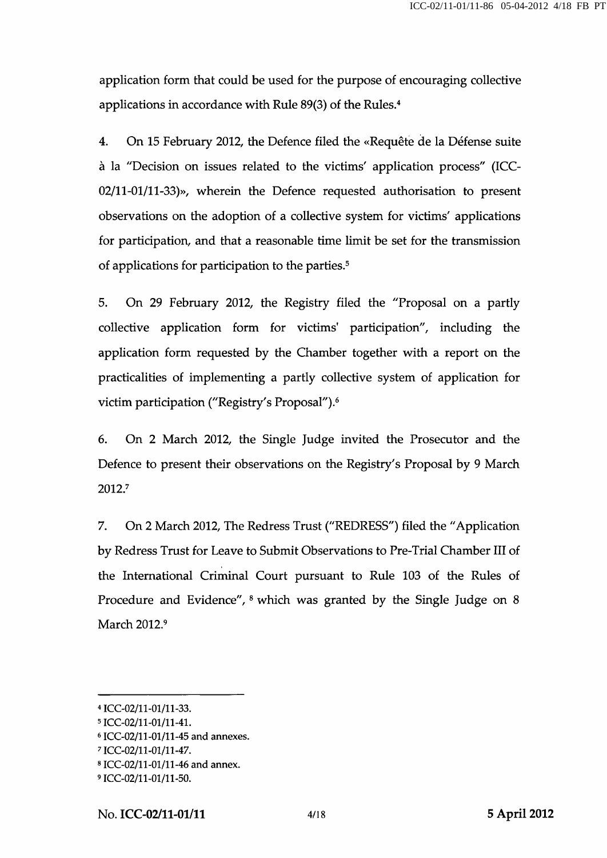application form that could be used for the purpose of encouraging collective applications in accordance with Rule 89(3) of the Rules.<sup>4</sup>

4. On 15 February 2012, the Defence filed the «Requête de la Défense suite à la "Decision on issues related to the victims' application process" (ICC-02/11-01/11-33)», wherein the Defence requested authorisation to present observations on the adoption of a collective system for victims' applications for participation, and that a reasonable time limit be set for the transmission of applications for participation to the parties.<sup>5</sup>

5. On 29 February 2012, the Registry filed the "Proposal on a partly collective application form for victims' participation", including the application form requested by the Chamber together with a report on the practicalities of implementing a partly collective system of application for victim participation ("Registry's Proposal").<sup>6</sup>

6. On 2 March 2012, the Single Judge invited the Prosecutor and the Defence to present their observations on the Registry's Proposal by 9 March 2012.7

7. On 2 March 2012, The Redress Trust ("REDRESS") filed the "Application by Redress Trust for Leave to Submit Observations to Pre-Trial Chamber III of the International Criminal Court pursuant to Rule 103 of the Rules of Procedure and Evidence",  $\delta$  which was granted by the Single Judge on  $\delta$ March 2012.<sup>9</sup>

<sup>4</sup>ICC-02/11-01/11-33.

<sup>5</sup>ICC-02/11-01/11-41.

<sup>6</sup>ICC-02/11-01/11-45 and annexes.

<sup>7</sup>ICC-02/11-01/11-47.

<sup>8</sup>ICC-02/11-01/11-46 and annex.

<sup>9</sup>ICC-02/11-01/11-50.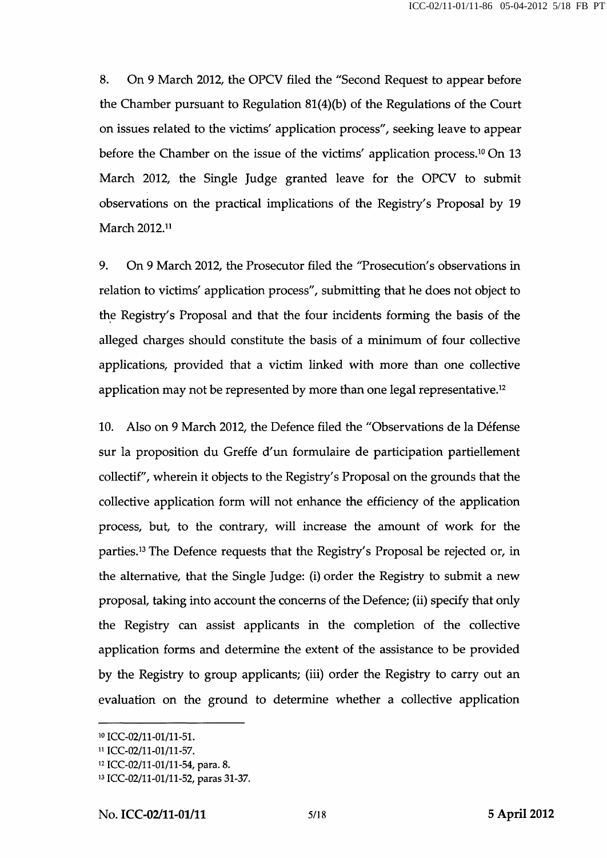8. On 9 March 2012, the OPCV filed the "Second Request to appear before the Chamber pursuant to Regulation  $81(4)(b)$  of the Regulations of the Court on issues related to the victims' application process", seeking leave to appear before the Chamber on the issue of the victims' application process.<sup>10</sup> On 13 March 2012, the Single Judge granted leave for the OPCV to submit observations on the practical implications of the Registry's Proposal by 19 March 2012.<sup>11</sup>

9. On 9 March 2012, the Prosecutor filed the "Prosecution's observations in relation to victims' application process", submitting that he does not object to the Registry's Proposal and that the four incidents forming the basis of the alleged charges should constitute the basis of a minimum of four collective applications, provided that a victim linked with more than one collective application may not be represented by more than one legal representative.<sup>12</sup>

10. Also on 9 March 2012, the Defence filed the "Observations de la Défense sur la proposition du Greffe d'un formulaire de participation partiellement collectif", wherein it objects to the Registry's Proposal on the grounds that the collective application form will not enhance the efficiency of the application process, but, to the contrary, will increase the amount of work for the parties.<sup>13</sup> The Defence requests that the Registry's Proposal be rejected or, in the alternative, that the Single Judge: (i) order the Registry to submit a new proposal, taking into account the concerns of the Defence; (ii) specify that only the Registry can assist applicants in the completion of the collective application forms and determine the extent of the assistance to be provided by the Registry to group applicants; (iii) order the Registry to carry out an evaluation on the ground to determine whether a collective application

<sup>&</sup>lt;sup>10</sup> ICC-02/11-01/11-51.

<sup>11</sup>ICC-02/11-01/11-57.

<sup>12</sup>ICC-02/11-01/11-54, para. 8.

<sup>13</sup>ICC-02/11-01/11-52, paras 31-37.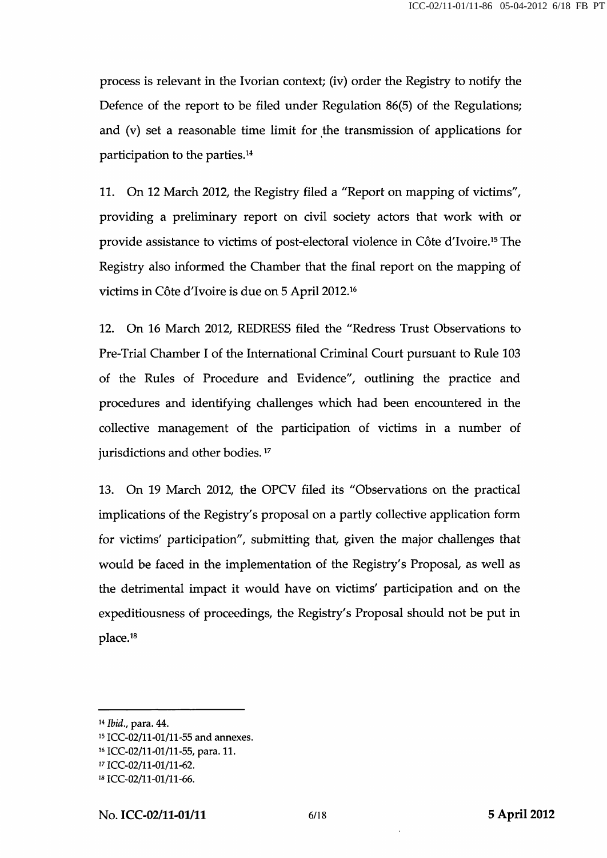process is relevant in the Ivorian context; (iv) order the Registry to notify the Defence of the report to be filed under Regulation 86(5) of the Regulations; and (v) set a reasonable time limit for the transmission of applications for participation to the parties. $^{14}$ 

11. On 12 March 2012, the Registry filed a "Report on mapping of victims", providing a preliminary report on civil society actors that work with or provide assistance to victims of post-electoral violence in Côte d'Ivoire.<sup>15</sup> The Registry also informed the Chamber that the final report on the mapping of victims in Côte d'Ivoire is due on 5 April 2012.<sup>16</sup>

12. On 16 March 2012, REDRESS filed the "Redress Trust Observations to Pre-Trial Chamber I of the International Criminal Court pursuant to Rule 103 of the Rules of Procedure and Evidence", outlining the practice and procedures and identifying challenges which had been encountered in the collective management of the participation of victims in a number of jurisdictions and other bodies.<sup>17</sup>

13. On 19 March 2012, the OPCV filed its "Observations on the practical implications of the Registry's proposal on a partly collective application form for victims' participation", submitting that, given the major challenges that would be faced in the implementation of the Registry's Proposal, as well as the detrimental impact it would have on victims' participation and on the expeditiousness of proceedings, the Registry's Proposal should not be put in place.<sup>18</sup>

<sup>14</sup> Ibid., para. 44.

<sup>15</sup>ICC-02/11-01/11-55 and annexes.

<sup>16</sup> ICC-02/11-01/11-55, para. 11.

<sup>17</sup>ICC-02/11-01/11-62.

<sup>18</sup>ICC-02/11-01/11-66.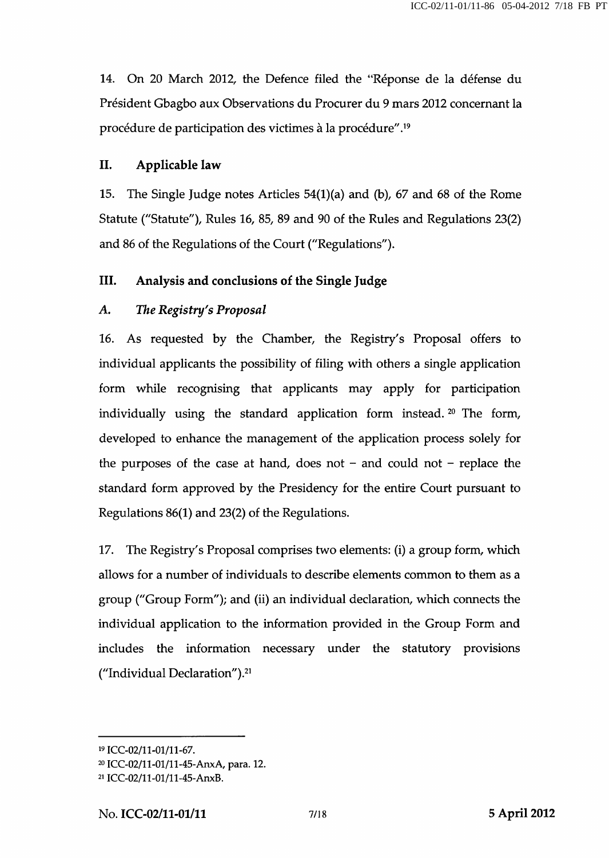14. On 20 March 2012, the Defence filed the "Réponse de la défense du Président Gbagbo aux Observations du Procurer du 9 mars 2012 concernant la procédure de participation des victimes à la procédure".<sup>19</sup>

#### IL Applicable law

15. The Single Judge notes Articles 54(l)(a) and (b), 67 and 68 of the Rome Statute ("Statute"), Rules 16, 85, 89 and 90 of the Rules and Regulations 23(2) and 86 of the Regulations of the Court ("Regulations").

#### III. Analysis and conclusions of the Single Judge

#### A. The Registry's Proposal

16. As requested by the Chamber, the Registry's Proposal offers to individual applicants the possibility of filing with others a single application form while recognising that applicants may apply for participation individually using the standard application form instead.<sup>20</sup> The form, developed to enhance the management of the application process solely for the purposes of the case at hand, does not  $-$  and could not  $-$  replace the standard form approved by the Presidency for the entire Court pursuant to Regulations 86(1) and 23(2) of the Regulations.

17. The Registry's Proposal comprises two elements: (i) a group form, which allows for a number of individuals to describe elements common to them as a group ("Group Form"); and (ii) an individual declaration, which connects the individual application to the information provided in the Group Form and includes the information necessary under the statutory provisions ("Individual Declaration"). $21$ 

<sup>&</sup>lt;sup>19</sup> ICC-02/11-01/11-67.

<sup>20</sup> ICC-02/11-01/11-45-AnxA, para. 12.

<sup>21</sup> ICC-02/11-01/11-45-AnxB.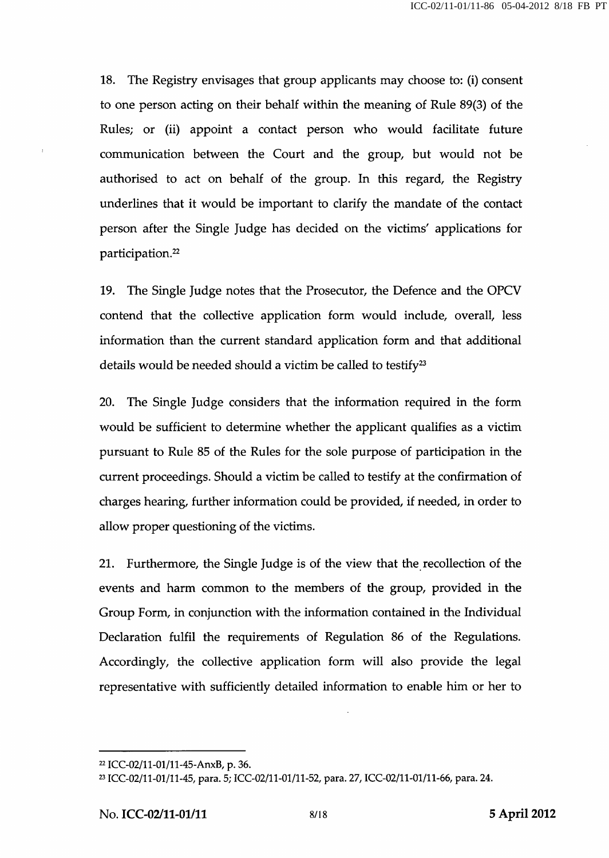18. The Registry envisages that group applicants may choose to: (i) consent to one person acting on their behalf within the meaning of Rule 89(3) of the Rules; or (ii) appoint a contact person who would facilitate future communication between the Court and the group, but would not be authorised to act on behalf of the group. In this regard, the Registry underlines that it would be important to clarify the mandate of the contact person after the Single Judge has decided on the victims' applications for participation.22

19. The Single Judge notes that the Prosecutor, the Defence and the OPCV contend that the collective application form would include, overall, less information than the current standard application form and that additional details would be needed should a victim be called to testify<sup>23</sup>

20. The Single Judge considers that the information required in the form would be sufficient to determine whether the applicant qualifies as a victim pursuant to Rule 85 of the Rules for the sole purpose of participation in the current proceedings. Should a victim be called to testify at the confirmation of charges hearing, further information could be provided, if needed, in order to allow proper questioning of the victims.

21. Furthermore, the Single Judge is of the view that the recollection of the events and harm common to the members of the group, provided in the Group Form, in conjunction with the information contained in the Individual Declaration fulfil the requirements of Regulation 86 of the Regulations. Accordingly, the collective application form will also provide the legal representative with sufficiently detailed information to enable him or her to

<sup>22</sup> ICC-02/ll-01/ll-45-AnxB, p. 36.

<sup>23</sup> ICC-02/11-01/11-45, para. 5; ICC-02/11-01/11-52, para. 27, ICC-02/11-01/11-66, para. 24.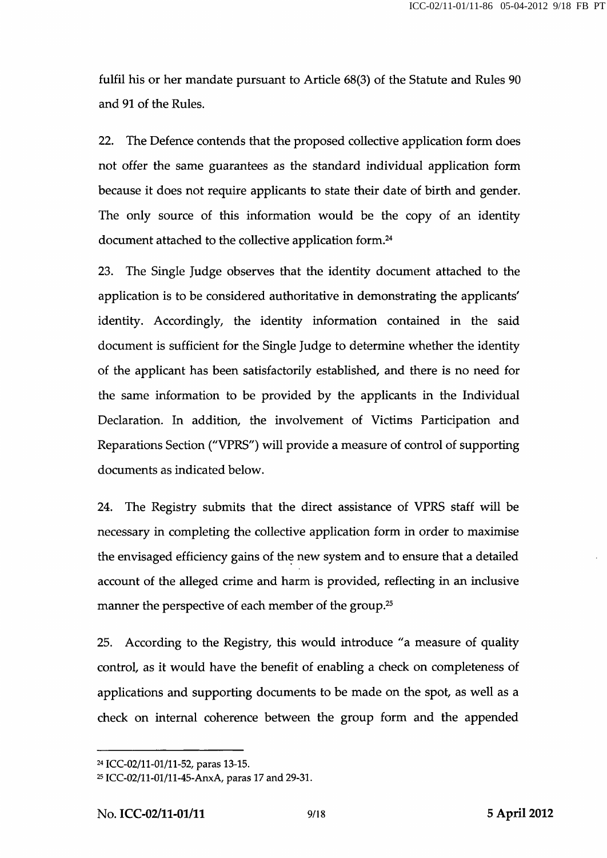fulfil his or her mandate pursuant to Article 68(3) of the Statute and Rules 90 and 91 of the Rules.

22. The Defence contends that the proposed collective application form does not offer the same guarantees as the standard individual application form because it does not require applicants to state their date of birth and gender. The only source of this information would be the copy of an identity document attached to the collective application form.<sup>24</sup>

23. The Single Judge observes that the identity document attached to the application is to be considered authoritative in demonstrating the applicants' identity. Accordingly, the identity information contained in the said document is sufficient for the Single Judge to determine whether the identity of the applicant has been satisfactorily established, and there is no need for the same information to be provided by the applicants in the Individual Declaration. In addition, the involvement of Victims Participation and Reparations Section ("VPRS") will provide a measure of control of supporting documents as indicated below.

24. The Registry submits that the direct assistance of VPRS staff will be necessary in completing the collective application form in order to maximise the envisaged efficiency gains of the new system and to ensure that a detailed account of the alleged crime and harm is provided, reflecting in an inclusive manner the perspective of each member of the group.<sup>25</sup>

25. According to the Registry, this would introduce "a measure of quality control, as it would have the benefit of enabling a check on completeness of applications and supporting documents to be made on the spot, as well as a check on internal coherence between the group form and the appended

<sup>24</sup> ICC-02/11-01/11-52, paras 13-15.

<sup>25</sup> ICC-02/11-01/11-45-AnxA, paras 17 and 29-31.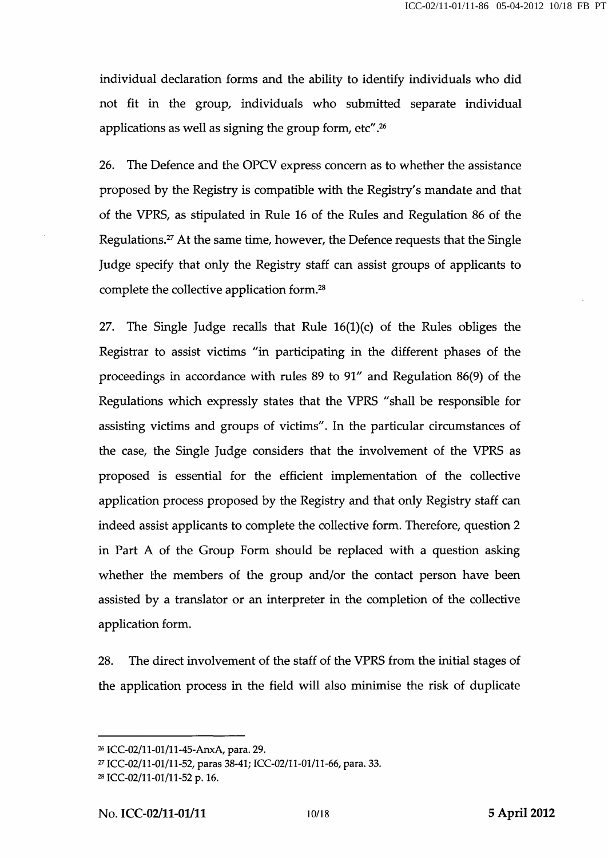individual declaration forms and the ability to identify individuals who did not fit in the group, individuals who submitted separate individual applications as well as signing the group form, etc".<sup>26</sup>

26. The Defence and the OPCV express concern as to whether the assistance proposed by the Registry is compatible with the Registry's mandate and that of the VPRS, as stipulated in Rule 16 of the Rules and Regulation 86 of the Regulations.27 At the same time, however, the Defence requests that the Single Judge specify that only the Registry staff can assist groups of applicants to complete the collective application form.<sup>28</sup>

27. The Single Judge recalls that Rule  $16(1)(c)$  of the Rules obliges the Registrar to assist victims "in participating in the different phases of the proceedings in accordance with rules 89 to 91" and Regulation 86(9) of the Regulations which expressly states that the VPRS "shall be responsible for assisting victims and groups of victims". In the particular circumstances of the case, the Single Judge considers that the involvement of the VPRS as proposed is essential for the efficient implementation of the collective application process proposed by the Registry and that only Registry staff can indeed assist applicants to complete the collective form. Therefore, question 2 in Part A of the Group Form should be replaced with a question asking whether the members of the group and/or the contact person have been assisted by a translator or an interpreter in the completion of the collective application form.

28. The direct involvement of the staff of the VPRS from the initial stages of the application process in the field will also minimise the risk of duplicate

<sup>26</sup> ICC-02/ll-01/ll-45-AnxA, para. 29.

<sup>27</sup> ICC-02/11-01/11-52, paras 38-41; ICC-02/11-01/11-66, para. 33.

<sup>28</sup> ICC-02/11-01/11-52 p. 16.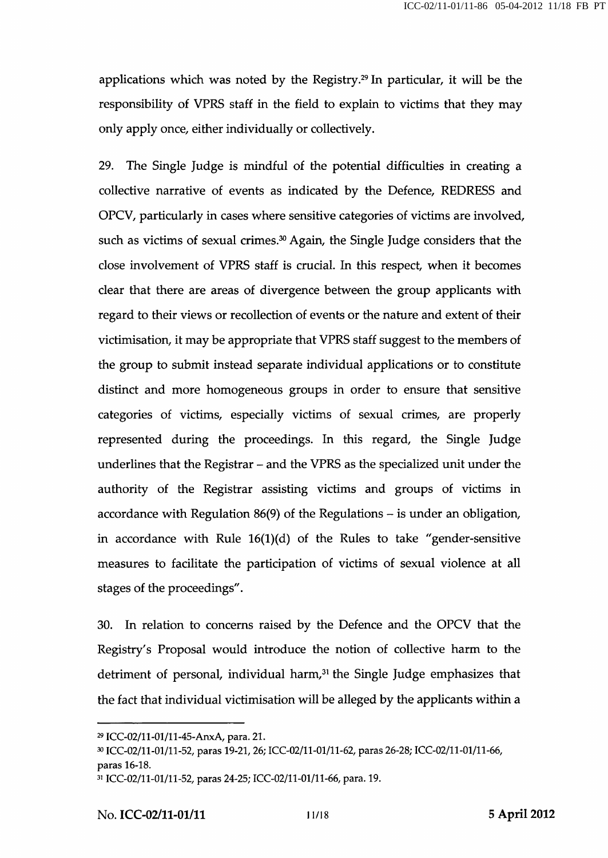applications which was noted by the Registry.<sup>29</sup> In particular, it will be the responsibility of VPRS staff in the field to explain to victims that they may only apply once, either individually or collectively.

29. The Single Judge is mindful of the potential difficulties in creating a collective narrative of events as indicated by the Defence, REDRESS and OPCV, particularly in cases where sensitive categories of victims are involved, such as victims of sexual crimes. $30$  Again, the Single Judge considers that the close involvement of VPRS staff is crucial. In this respect, when it becomes clear that there are areas of divergence between the group applicants with regard to their views or recollection of events or the nature and extent of their victimisation, it may be appropriate that VPRS staff suggest to the members of the group to submit instead separate individual applications or to constitute distinct and more homogeneous groups in order to ensure that sensitive categories of victims, especially victims of sexual crimes, are properly represented during the proceedings. In this regard, the Single Judge underlines that the Registrar - and the VPRS as the specialized unit under the authority of the Registrar assisting victims and groups of victims in accordance with Regulation 86(9) of the Regulations – is under an obligation, in accordance with Rule  $16(1)(d)$  of the Rules to take "gender-sensitive measures to facilitate the participation of victims of sexual violence at all stages of the proceedings".

30. In relation to concerns raised by the Defence and the OPCV that the Registry's Proposal would introduce the notion of collective harm to the detriment of personal, individual harm,<sup>31</sup> the Single Judge emphasizes that the fact that individual victimisation will be alleged by the applicants within a

<sup>29</sup> ICC-02/11-01/11-45-AnxA, para. 21.

<sup>30</sup> ICC-02/11-01/11-52, paras 19-21, 26; ICC-02/11-01/11-62, paras 26-28; ICC-02/11-01/11-66, paras 16-18.

<sup>31</sup> ICC-02/11-01/11-52, paras 24-25; ICC-02/11-01/11-66, para. 19.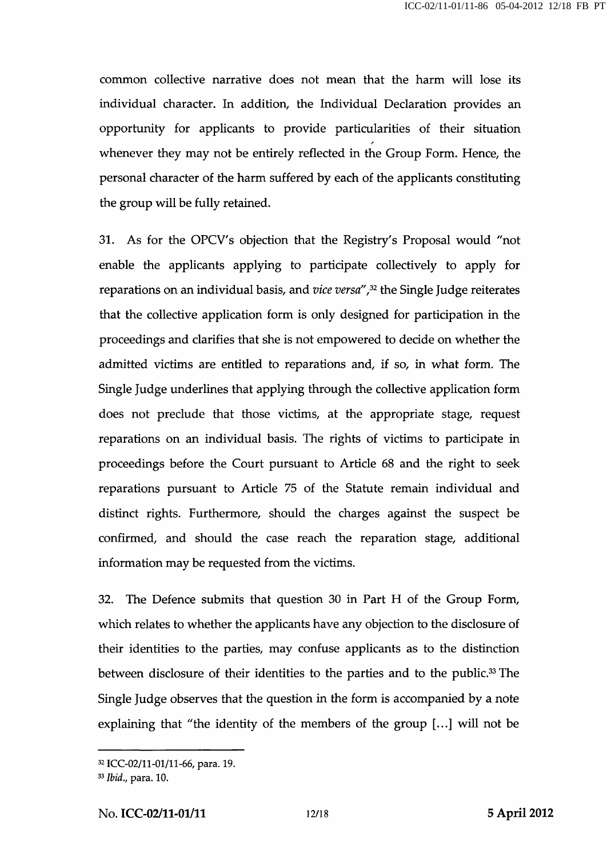common collective narrative does not mean that the harm will lose its individual character. In addition, the Individual Declaration provides an opportunity for applicants to provide particularities of their situation whenever they may not be entirely reflected in the Group Form. Hence, the personal character of the harm suffered by each of the applicants constituting the group will be fully retained.

31. As for the OPCV's objection that the Registry's Proposal would "not enable the applicants applying to participate collectively to apply for reparations on an individual basis, and vice versa", $32$  the Single Judge reiterates that the collective application form is only designed for participation in the proceedings and clarifies that she is not empowered to decide on whether the admitted victims are entitled to reparations and, if so, in what form. The Single Judge underlines that applying through the collective application form does not preclude that those victims, at the appropriate stage, request reparations on an individual basis. The rights of victims to participate in proceedings before the Court pursuant to Article 68 and the right to seek reparations pursuant to Article 75 of the Statute remain individual and distinct rights. Furthermore, should the charges against the suspect be confirmed, and should the case reach the reparation stage, additional information may be requested from the victims.

32. The Defence submits that question 30 in Part H of the Group Form, which relates to whether the applicants have any objection to the disclosure of their identities to the parties, may confuse applicants as to the distinction between disclosure of their identities to the parties and to the public.<sup>33</sup> The Single Judge observes that the question in the form is accompanied by a note explaining that "the identity of the members of the group [...] will not be

<sup>32</sup> ICC-02/11-01/11-66, para. 19.

<sup>33</sup> Ibid., para. 10.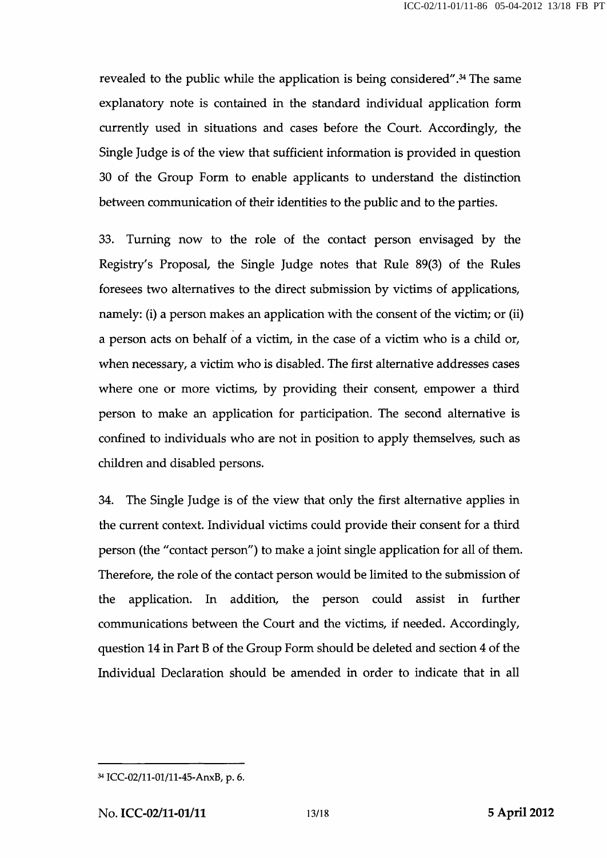revealed to the public while the application is being considered".<sup>34</sup> The same explanatory note is contained in the standard individual application form currently used in situations and cases before the Court. Accordingly, the Single Judge is of the view that sufficient information is provided in question 30 of the Group Form to enable applicants to understand the distinction between communication of their identities to the public and to the parties.

33. Turning now to the role of the contact person envisaged by the Registry's Proposal, the Single Judge notes that Rule 89(3) of the Rules foresees two alternatives to the direct submission by victims of applications, namely: (i) a person makes an application with the consent of the victim; or (ii) a person acts on behalf of a victim, in the case of a victim who is a child or, when necessary, a victim who is disabled. The first alternative addresses cases where one or more victims, by providing their consent, empower a third person to make an application for participation. The second alternative is confined to individuals who are not in position to apply themselves, such as children and disabled persons.

34. The Single Judge is of the view that only the first alternative applies in the current context. Individual victims could provide their consent for a third person (the "contact person") to make a joint single application for all of them. Therefore, the role of the contact person would be limited to the submission of the application. In addition, the person could assist in further communications between the Court and the victims, if needed. Accordingly, question 14 in Part B of the Group Form should be deleted and section 4 of the Individual Declaration should be amended in order to indicate that in all

<sup>34</sup> ICC-02/11-01/11-45-AnxB, p. 6.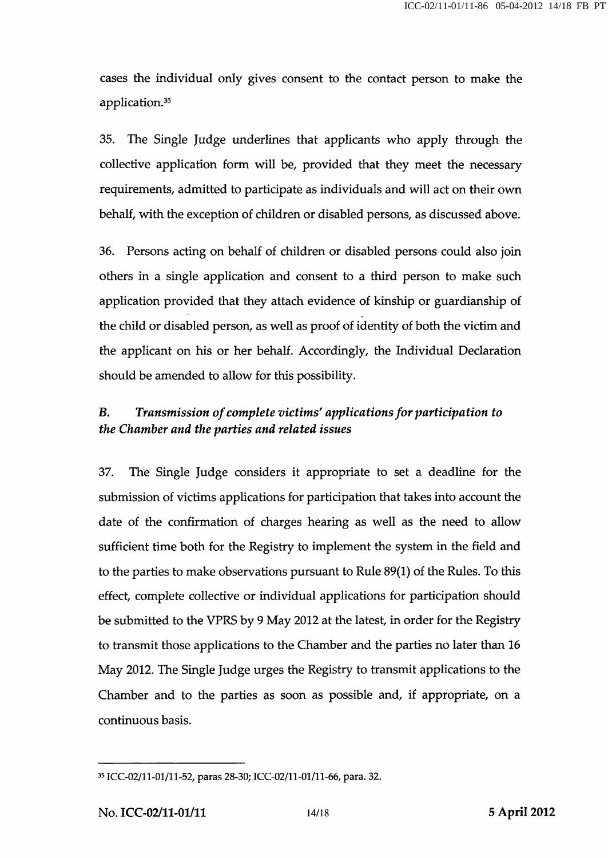cases the individual only gives consent to the contact person to make the application.<sup>35</sup>

35. The Single Judge underlines that applicants who apply through the collective application form will be, provided that they meet the necessary requirements, admitted to participate as individuals and will act on their own behalf, with the exception of children or disabled persons, as discussed above.

36. Persons acting on behalf of children or disabled persons could also join others in a single application and consent to a third person to make such application provided that they attach evidence of kinship or guardianship of the child or disabled person, as well as proof of identity of both the victim and the applicant on his or her behalf. Accordingly, the Individual Declaration should be amended to allow for this possibility.

### B. Transmission of complete victims' applications for participation to the Chamber and the parties and related issues

37. The Single Judge considers it appropriate to set a deadline for the submission of victims applications for participation that takes into account the date of the confirmation of charges hearing as well as the need to allow sufficient time both for the Registry to implement the system in the field and to the parties to make observations pursuant to Rule 89(1) of the Rules. To this effect, complete collective or individual applications for participation should be submitted to the VPRS by 9 May 2012 at the latest, in order for the Registry to transmit those applications to the Chamber and the parties no later than 16 May 2012. The Single Judge urges the Registry to transmit applications to the Chamber and to the parties as soon as possible and, if appropriate, on a continuous basis.

<sup>35</sup> ICC-02/11-01/11-52, paras 28-30; ICC-02/11-01/11-66, para. 32.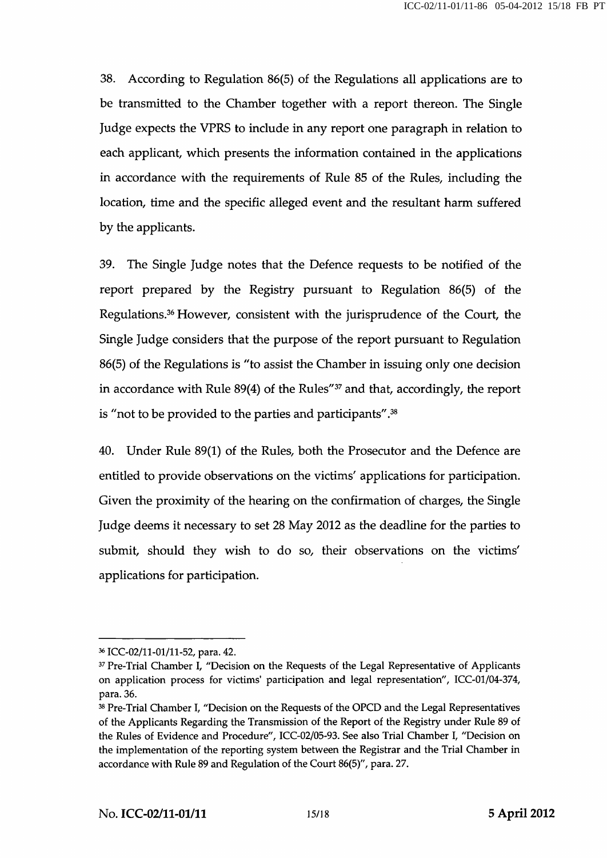38. According to Regulation 86(5) of the Regulations all applications are to be transmitted to the Chamber together with a report thereon. The Single Judge expects the VPRS to include in any report one paragraph in relation to each applicant, which presents the information contained in the applications in accordance with the requirements of Rule 85 of the Rules, including the location, time and the specific alleged event and the resultant harm suffered by the applicants.

39. The Single Judge notes that the Defence requests to be notified of the report prepared by the Registry pursuant to Regulation 86(5) of the Regulations.<sup>36</sup> However, consistent with the jurisprudence of the Court, the Single Judge considers that the purpose of the report pursuant to Regulation 86(5) of the Regulations is "to assist the Chamber in issuing only one decision in accordance with Rule  $89(4)$  of the Rules"<sup>37</sup> and that, accordingly, the report is "not to be provided to the parties and participants". $38$ 

40. Under Rule 89(1) of the Rules, both the Prosecutor and the Defence are entitled to provide observations on the victims' applications for participation. Given the proximity of the hearing on the confirmation of charges, the Single Judge deems it necessary to set 28 May 2012 as the deadline for the parties to submit, should they wish to do so, their observations on the victims' applications for participation.

<sup>36</sup> ICC-02/11-01/11-52, para. 42.

<sup>&</sup>lt;sup>37</sup> Pre-Trial Chamber I, "Decision on the Requests of the Legal Representative of Applicants on application process for victims' participation and legal representation", ICC-01/04-374, para. 36.

<sup>38</sup> Pre-Trial Chamber I, "Decision on the Requests of the OPCD and the Legal Representatives of the Applicants Regarding the Transmission of the Report of the Registry under Rule 89 of the Rules of Evidence and Procedure", ICC-02/05-93. See also Trial Chamber I, "Decision on the implementation of the reporting system between the Registrar and the Trial Chamber in accordance with Rule 89 and Regulation of the Court 86(5)", para. 27.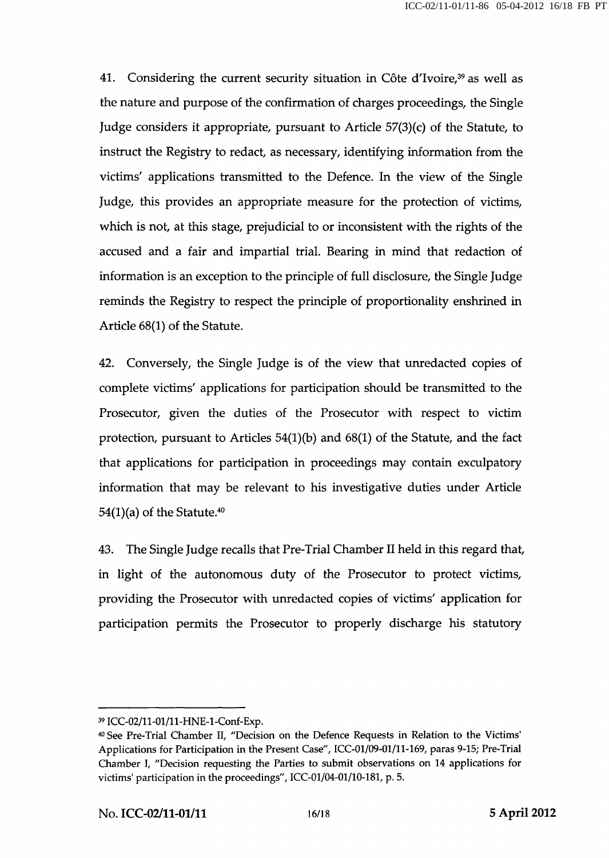41. Considering the current security situation in Côte d'Ivoire, $39$  as well as the nature and purpose of the confirmation of charges proceedings, the Single Judge considers it appropriate, pursuant to Article 57(3)(c) of the Statute, to instruct the Registry to redact, as necessary, identifying information from the victims' applications transmitted to the Defence. In the view of the Single Judge, this provides an appropriate measure for the protection of victims, which is not, at this stage, prejudicial to or inconsistent with the rights of the accused and a fair and impartial trial. Bearing in mind that redaction of information is an exception to the principle of full disclosure, the Single Judge reminds the Registry to respect the principle of proportionality enshrined in Article 68(1) of the Statute.

42. Conversely, the Single Judge is of the view that unredacted copies of complete victims' applications for participation should be transmitted to the Prosecutor, given the duties of the Prosecutor with respect to victim protection, pursuant to Articles  $54(1)(b)$  and  $68(1)$  of the Statute, and the fact that applications for participation in proceedings may contain exculpatory information that may be relevant to his investigative duties under Article 54(1)(a) of the Statute. $40$ 

43. The Single Judge recalls that Pre-Trial Chamber II held in this regard that, in light of the autonomous duty of the Prosecutor to protect victims, providing the Prosecutor with unredacted copies of victims' application for participation permits the Prosecutor to properly discharge his statutory

<sup>39</sup>ICC-02/ll-01/ll-HNE-l-Conf-Exp.

<sup>40</sup> See Pre-Trial Chamber II, "Decision on the Defence Requests in Relation to the Victims' Applications for Participation in the Present Case", ICC-01/09-01/11-169, paras 9-15; Pre-Trial Chamber I, "Decision requesting the Parties to submit observations on 14 applications for victims' participation in the proceedings", ICC-01/04-01/10-181, p. 5.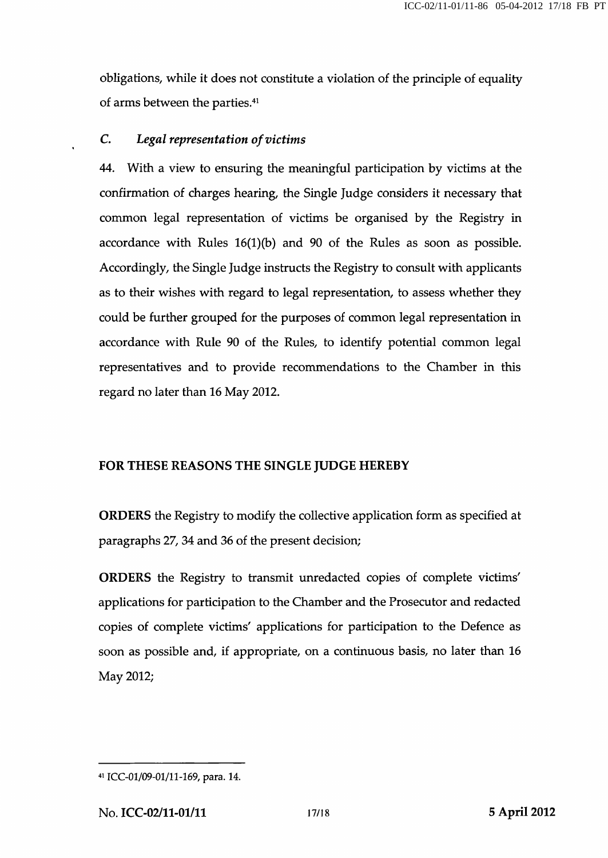obligations, while it does not constitute a violation of the principle of equality of arms between the parties.<sup>41</sup>

#### C. Legal representation of victims

44. With a view to ensuring the meaningful participation by victims at the confirmation of charges hearing, the Single Judge considers it necessary that common legal representation of victims be organised by the Registry in accordance with Rules  $16(1)(b)$  and 90 of the Rules as soon as possible. Accordingly, the Single Judge instructs the Registry to consult with applicants as to their wishes with regard to legal representation, to assess whether they could be further grouped for the purposes of common legal representation in accordance with Rule 90 of the Rules, to identify potential common legal representatives and to provide recommendations to the Chamber in this regard no later than 16 May 2012.

#### FOR THESE REASONS THE SINGLE JUDGE HEREBY

ORDERS the Registry to modify the collective application form as specified at paragraphs 27, 34 and 36 of the present decision;

ORDERS the Registry to transmit unredacted copies of complete victims' applications for participation to the Chamber and the Prosecutor and redacted copies of complete victims' applications for participation to the Defence as soon as possible and, if appropriate, on a continuous basis, no later than 16 May 2012;

<sup>41</sup> ICC-01/09-01/11-169, para. 14.